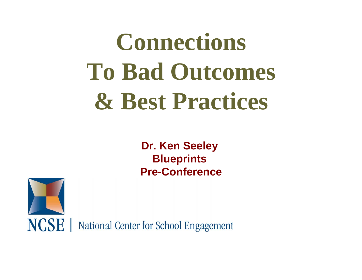# **Connections To Bad Outcomes & Best Practices**

**Dr. Ken Seeley Blueprints Pre-Conference**

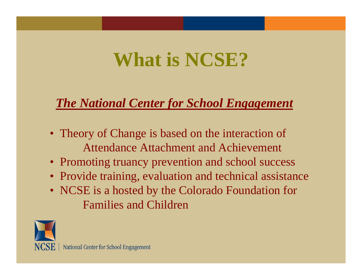## **What is NCSE?**

#### *The National Center for School Engagement*

- Theory of Change is based on the interaction of Attendance Attachment and Achievement
- Promoting truancy prevention and school success
- Provide training, evaluation and technical assistance
- NCSE is a hosted by the Colorado Foundation for Families and Children

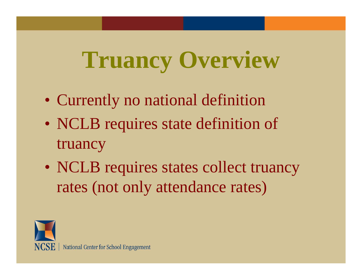# **Truancy Overview**

- Currently no national definition
- NCLB requires state definition of truancy
- NCLB requires states collect truancy rates (not only attendance rates)

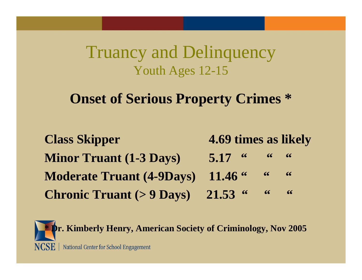#### Truancy and Delinquency Youth Ages 12-15

#### **Onset of Serious Property Crimes \***

| <b>Class Skipper</b>                                                            | 4.69 times as likely                                   |  |
|---------------------------------------------------------------------------------|--------------------------------------------------------|--|
| <b>Minor Truant (1-3 Days)</b>                                                  | $5.17$ $\frac{6}{100}$ $\frac{6}{100}$ $\frac{6}{100}$ |  |
| Moderate Truant (4-9Days) 11.46 " "                                             |                                                        |  |
| <b>Chronic Truant (&gt; 9 Days)</b> 21.53 $\cdot\cdot\cdot\cdot\cdot\cdot\cdot$ |                                                        |  |

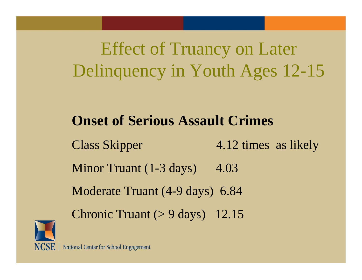### Effect of Truancy on Later Delinquency in Youth Ages 12-15

#### **Onset of Serious Assault Crimes**

Class Skipper 4.12 times as likely Minor Truant  $(1-3 \text{ days})$  4.03 Moderate Truant (4-9 days) 6.84 Chronic Truant  $(> 9 \text{ days})$  12.15

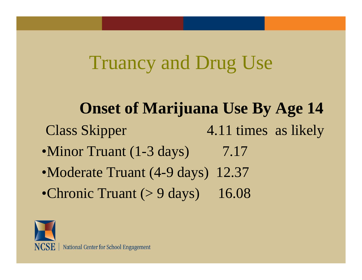### Truancy and Drug Use

**Onset of Marijuana Use By Age 14** Class Skipper 4.11 times as likely •Minor Truant (1-3 days) 7.17 •Moderate Truant (4-9 days) 12.37 •Chronic Truant  $(> 9 \text{ days})$  16.08

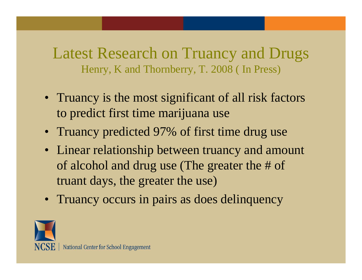#### Latest Research on Truancy and Drugs Henry, K and Thornberry, T. 2008 ( In Press)

- Truancy is the most significant of all risk factors to predict first time marijuana use
- Truancy predicted 97% of first time drug use
- Linear relationship between truancy and amount of alcohol and drug use (The greater the # of truant days, the greater the use)
- Truancy occurs in pairs as does delinquency

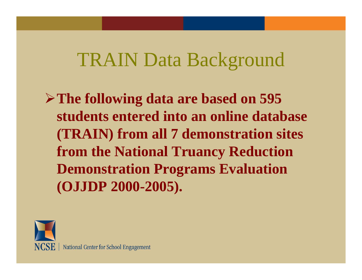### TRAIN Data Background

¾**The following data are based on 595 students entered into an online database (TRAIN) from all 7 demonstration sites from the National Truancy Reduction Demonstration Programs Evaluation (OJJDP 2000-2005).**

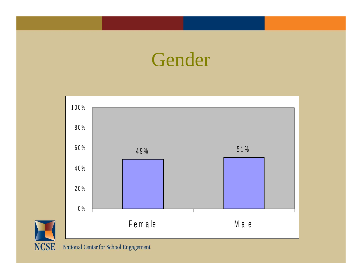### Gender



NCSE | National Center for School Engagement

H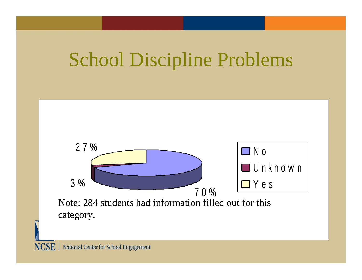## School Discipline Problems

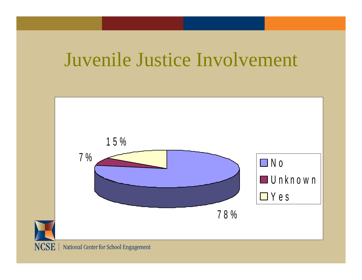### Juvenile Justice Involvement

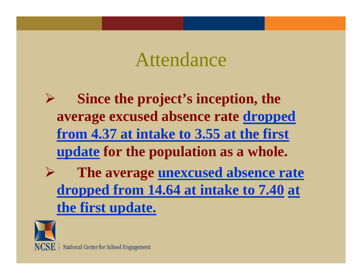### Attendance

¾ **Since the project's inception, the average excused absence rate dropped from 4.37 at intake to 3.55 at the first update for the population as a whole.** ¾ **The average unexcused absence rate dropped from 14.64 at intake to 7.40 at the first update.**

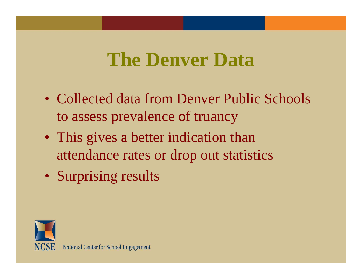### **The Denver Data**

- Collected data from Denver Public Schools to assess prevalence of truancy
- This gives a better indication than attendance rates or drop out statistics
- Surprising results

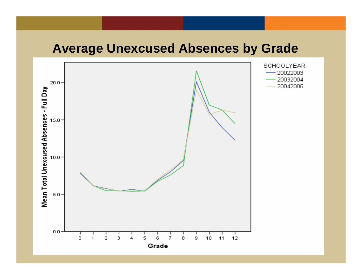#### **Average Unexcused Absences by Grade**

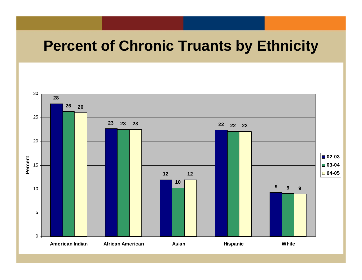#### **Percent of Chronic Truants by Ethnicity**

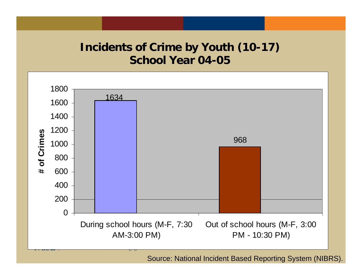#### **Incidents of Crime by Youth (10-17) School Year 04-05**



Source: National Incident Based Reporting System (NIBRS).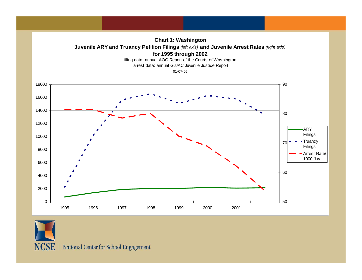



NCSE | National Center for School Engagement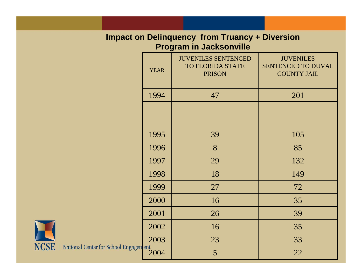#### **Impact on Delinquency from Truancy + Diversion Program in Jacksonville**

|           | <b>YEAR</b> | <b>JUVENILES SENTENCED</b><br><b>TO FLORIDA STATE</b><br><b>PRISON</b> | <b>JUVENILES</b><br>SENTENCED TO DUVAL<br><b>COUNTY JAIL</b> |
|-----------|-------------|------------------------------------------------------------------------|--------------------------------------------------------------|
|           | 1994        | 47                                                                     | 201                                                          |
|           |             |                                                                        |                                                              |
|           | 1995        | 39                                                                     | 105                                                          |
|           |             |                                                                        |                                                              |
|           | 1996        | 8                                                                      | 85                                                           |
|           | 1997        | 29                                                                     | 132                                                          |
|           | 1998        | 18                                                                     | 149                                                          |
|           | 1999        | 27                                                                     | 72                                                           |
|           | 2000        | 16                                                                     | 35                                                           |
|           | 2001        | 26                                                                     | 39                                                           |
|           | 2002        | 16                                                                     | 35                                                           |
|           | 2003        | 23                                                                     | 33                                                           |
| gagen ent | 2004        | 5                                                                      | 22                                                           |

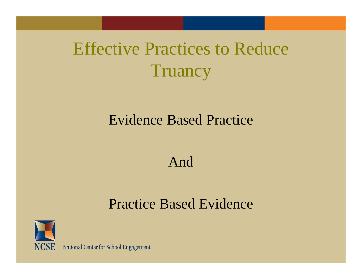### Effective Practices to Reduce **Truancy**

#### Evidence Based Practice

#### And

#### Practice Based Evidence



NCSE | National Center for School Engagement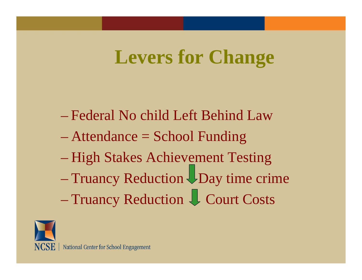### **Levers for Change**

- Federal No child Left Behind Law
- Attendance = School Funding
- High Stakes Achievement Testing
- Truancy Reduction UDay time crime Truancy Reduction U Court Costs

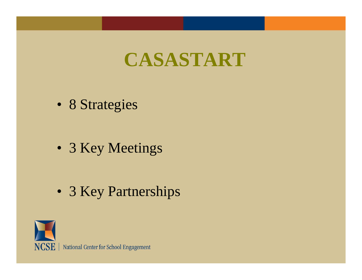### **CASASTART**

- 8 Strategies
- 3 Key Meetings
- 3 Key Partnerships



NCSE | National Center for School Engagement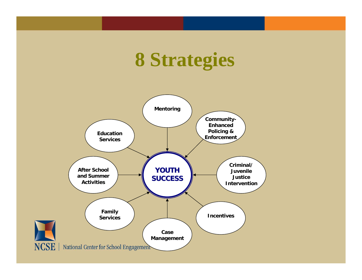### **8 Strategies**

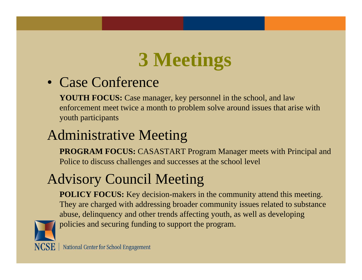## **3 Meetings**

#### • Case Conference

**YOUTH FOCUS:** Case manager, key personnel in the school, and law enforcement meet twice a month to problem solve around issues that arise with youth participants

### Administrative Meeting

**PROGRAM FOCUS:** CASASTART Program Manager meets with Principal and Police to discuss challenges and successes at the school level

### Advisory Council Meeting

**POLICY FOCUS:** Key decision-makers in the community attend this meeting. They are charged with addressing broader community issues related to substance abuse, delinquency and other trends affecting youth, as well as developing policies and securing funding to support the program.



**NCSE** | National Center for School Engagement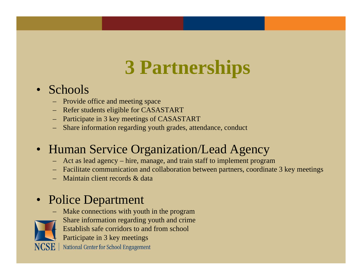## **3 Partnerships**

#### • Schools

- Provide office and meeting space
- Refer students eligible for CASASTART
- Participate in 3 key meetings of CASASTART
- Share information regarding youth grades, attendance, conduct

#### • Human Service Organization/Lead Agency

- Act as lead agency hire, manage, and train staff to implement program
- Facilitate communication and collaboration between partners, coordinate 3 key meetings
- Maintain client records & data

#### • Police Department

- –––
- Make connections with youth in the program
	- Share information regarding youth and crime
	- Establish safe corridors to and from school
	- Participate in 3 key meetings

**NCSE** | National Center for School Engagement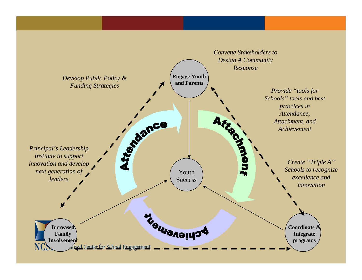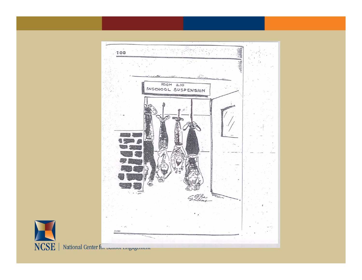

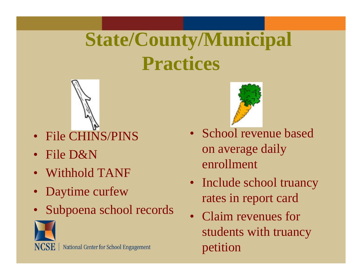## **State/County/Municipal Practices**



- File CHINS/PINS
- File D&N
- Withhold TANF
- Daytime curfew
- Subpoena school records





- • School revenue based on average daily enrollment
- Include school truancy rates in report card
- Claim revenues for students with truancy petition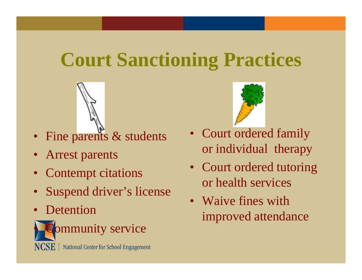### **Court Sanctioning Practices**



- Fine parents & students
- Arrest parents
- Contempt citations
- •Suspend driver's license
- Detention



Community service





- Court ordered family or individual therapy
- Court ordered tutoring or health services
- Waive fines with improved attendance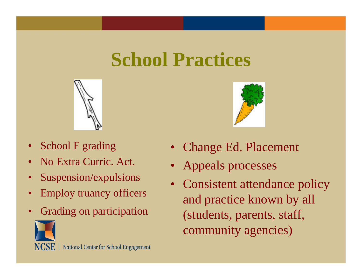### **School Practices**



- •School F grading
- •No Extra Curric. Act.
- •Suspension/expulsions
- •Employ truancy officers
- Grading on participation







- Change Ed. Placement
- Appeals processes
- • Consistent attendance policy and practice known by all (students, parents, staff, community agencies)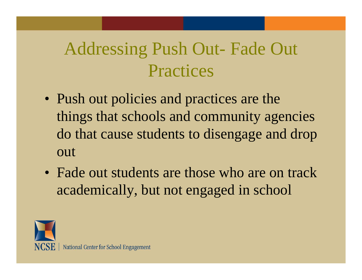### Addressing Push Out- Fade Out Practices

- Push out policies and practices are the things that schools and community agencies do that cause students to disengage and drop out
- Fade out students are those who are on track academically, but not engaged in school

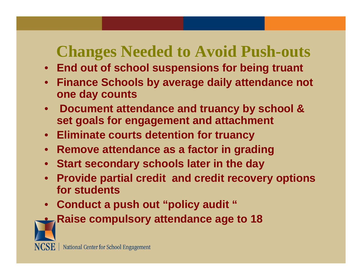### **Changes Needed to Avoid Push-outs**

- **End out of school suspensions for being truant**
- $\bullet$  **Finance Schools by average daily attendance not one day counts**
- **Document attendance and truancy by school & set goals for engagement and attachment**
- **Eliminate courts detention for truancy**
- **Remove attendance as a factor in grading**
- **Start secondary schools later in the day**
- $\bullet$  **Provide partial credit and credit recovery options for students**
- **Conduct a push out "policy audit "**



**Raise compulsory attendance age to 18**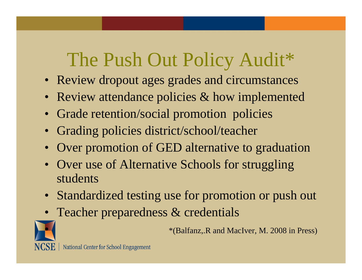### The Push Out Policy Audit\*

- Review dropout ages grades and circumstances
- Review attendance policies & how implemented
- Grade retention/social promotion policies
- Grading policies district/school/teacher
- Over promotion of GED alternative to graduation
- Over use of Alternative Schools for struggling students
- Standardized testing use for promotion or push out
- Teacher preparedness & credentials



\*(Balfanz,.R and MacIver, M. 2008 in Press)